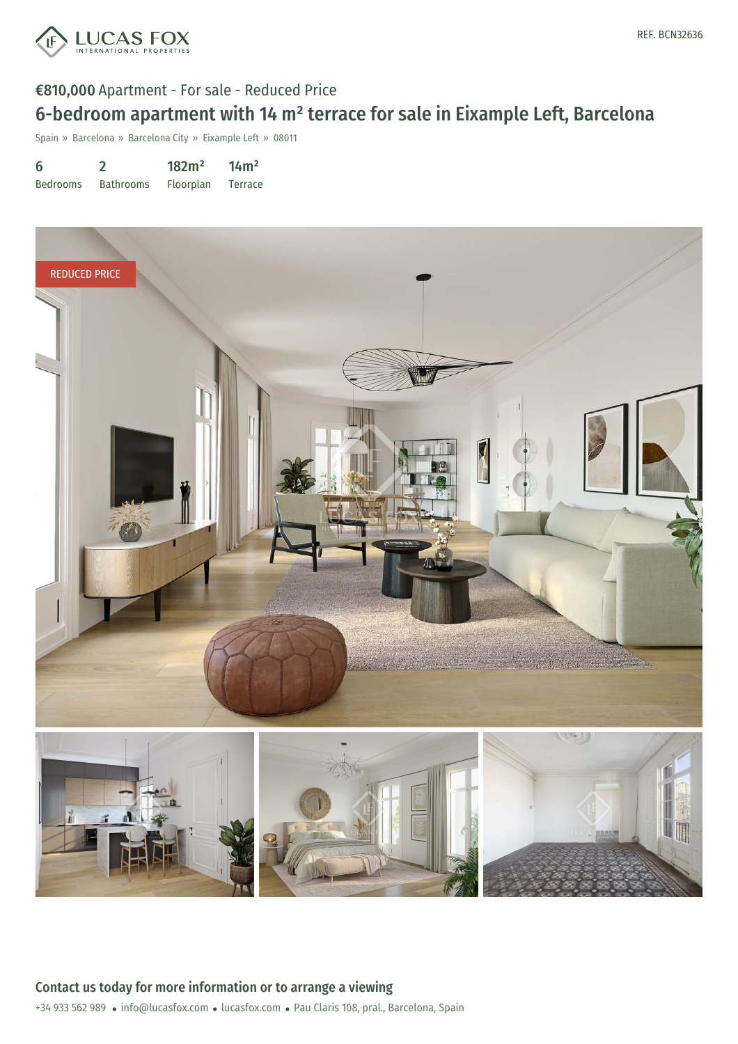

#### €810,000 Apartment - For sale - Reduced Price

# 6-bedroom apartment with 14 m² terrace for sale in Eixample Left, Barcelona

Spain » Barcelona » Barcelona City » Eixample Left » 08011

| 6               |                  | 182m <sup>2</sup> | 14m <sup>2</sup> |
|-----------------|------------------|-------------------|------------------|
| <b>Bedrooms</b> | <b>Bathrooms</b> | <b>Floorplan</b>  | Terrace          |

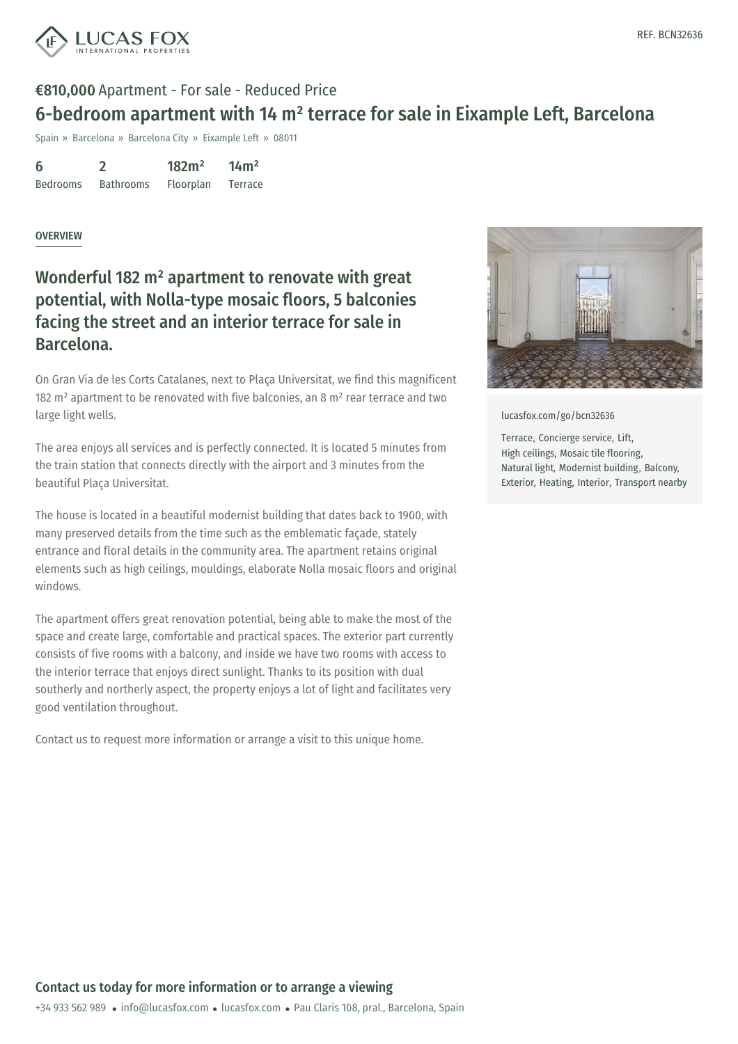

#### €810,000 Apartment - For sale - Reduced Price

### 6-bedroom apartment with 14 m² terrace for sale in Eixample Left, Barcelona

Spain » Barcelona » Barcelona City » Eixample Left » 08011

| 6               |                  | 182m <sup>2</sup> | 14m <sup>2</sup> |
|-----------------|------------------|-------------------|------------------|
| <b>Bedrooms</b> | <b>Bathrooms</b> | Floorplan         | Terrace          |

#### **OVERVIEW**

### Wonderful 182 m² apartment to renovate with great potential, with Nolla-type mosaic floors, 5 balconies facing the street and an interior terrace for sale in Barcelona.

On Gran Vía de les Corts Catalanes, next to Plaça Universitat, we find this magnificent 182  $m<sup>2</sup>$  apartment to be renovated with five balconies, an 8  $m<sup>2</sup>$  rear terrace and two large light wells.

The area enjoys all services and is perfectly connected. It is located 5 minutes from the train station that connects directly with the airport and 3 minutes from the beautiful Plaça Universitat.

The house is located in a beautiful modernist building that dates back to 1900, with many preserved details from the time such as the emblematic façade, stately entrance and floral details in the community area. The apartment retains original elements such as high ceilings, mouldings, elaborate Nolla mosaic floors and original windows.

The apartment offers great renovation potential, being able to make the most of the space and create large, comfortable and practical spaces. The exterior part currently consists of five rooms with a balcony, and inside we have two rooms with access to the interior terrace that enjoys direct sunlight. Thanks to its position with dual southerly and northerly aspect, the property enjoys a lot of light and facilitates very good ventilation throughout.

Contact us to request more information or arrange a visit to this unique home.



[lucasfox.com/go/bcn32636](https://www.lucasfox.com/go/bcn32636)

Terrace, Concierge service, Lift, High ceilings, Mosaic tile flooring, Natural light, Modernist building, Balcony, Exterior, Heating, Interior, Transport nearby